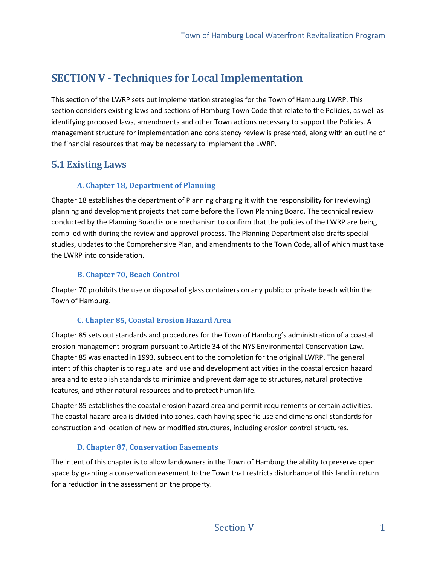# **SECTION V - Techniques for Local Implementation**

This section of the LWRP sets out implementation strategies for the Town of Hamburg LWRP. This section considers existing laws and sections of Hamburg Town Code that relate to the Policies, as well as identifying proposed laws, amendments and other Town actions necessary to support the Policies. A management structure for implementation and consistency review is presented, along with an outline of the financial resources that may be necessary to implement the LWRP.

## **5.1 Existing Laws**

## **A. Chapter 18, Department of Planning**

Chapter 18 establishes the department of Planning charging it with the responsibility for (reviewing) planning and development projects that come before the Town Planning Board. The technical review conducted by the Planning Board is one mechanism to confirm that the policies of the LWRP are being complied with during the review and approval process. The Planning Department also drafts special studies, updates to the Comprehensive Plan, and amendments to the Town Code, all of which must take the LWRP into consideration.

## **B. Chapter 70, Beach Control**

Chapter 70 prohibits the use or disposal of glass containers on any public or private beach within the Town of Hamburg.

## **C. Chapter 85, Coastal Erosion Hazard Area**

Chapter 85 sets out standards and procedures for the Town of Hamburg's administration of a coastal erosion management program pursuant to Article 34 of the NYS Environmental Conservation Law. Chapter 85 was enacted in 1993, subsequent to the completion for the original LWRP. The general intent of this chapter is to regulate land use and development activities in the coastal erosion hazard area and to establish standards to minimize and prevent damage to structures, natural protective features, and other natural resources and to protect human life.

Chapter 85 establishes the coastal erosion hazard area and permit requirements or certain activities. The coastal hazard area is divided into zones, each having specific use and dimensional standards for construction and location of new or modified structures, including erosion control structures.

## **D. Chapter 87, Conservation Easements**

The intent of this chapter is to allow landowners in the Town of Hamburg the ability to preserve open space by granting a conservation easement to the Town that restricts disturbance of this land in return for a reduction in the assessment on the property.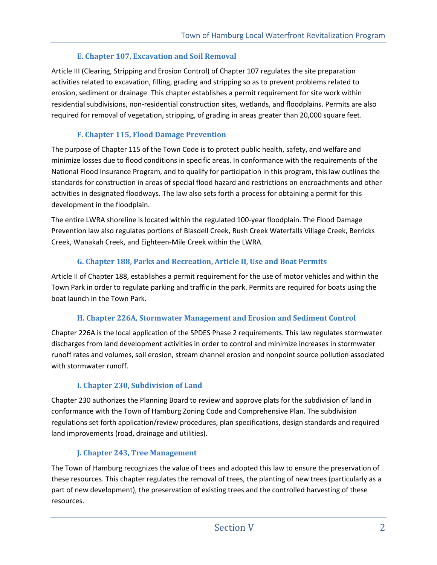### **E. Chapter 107, Excavation and Soil Removal**

Article III (Clearing, Stripping and Erosion Control) of Chapter 107 regulates the site preparation activities related to excavation, filling, grading and stripping so as to prevent problems related to erosion, sediment or drainage. This chapter establishes a permit requirement for site work within residential subdivisions, non-residential construction sites, wetlands, and floodplains. Permits are also required for removal of vegetation, stripping, of grading in areas greater than 20,000 square feet.

## **F. Chapter 115, Flood Damage Prevention**

The purpose of Chapter 115 of the Town Code is to protect public health, safety, and welfare and minimize losses due to flood conditions in specific areas. In conformance with the requirements of the National Flood Insurance Program, and to qualify for participation in this program, this law outlines the standards for construction in areas of special flood hazard and restrictions on encroachments and other activities in designated floodways. The law also sets forth a process for obtaining a permit for this development in the floodplain.

The entire LWRA shoreline is located within the regulated 100-year floodplain. The Flood Damage Prevention law also regulates portions of Blasdell Creek, Rush Creek Waterfalls Village Creek, Berricks Creek, Wanakah Creek, and Eighteen-Mile Creek within the LWRA.

### **G. Chapter 188, Parks and Recreation, Article II, Use and Boat Permits**

Article II of Chapter 188, establishes a permit requirement for the use of motor vehicles and within the Town Park in order to regulate parking and traffic in the park. Permits are required for boats using the boat launch in the Town Park.

#### **H. Chapter 226A, Stormwater Management and Erosion and Sediment Control**

Chapter 226A is the local application of the SPDES Phase 2 requirements. This law regulates stormwater discharges from land development activities in order to control and minimize increases in stormwater runoff rates and volumes, soil erosion, stream channel erosion and nonpoint source pollution associated with stormwater runoff.

## **I. Chapter 230, Subdivision of Land**

Chapter 230 authorizes the Planning Board to review and approve plats for the subdivision of land in conformance with the Town of Hamburg Zoning Code and Comprehensive Plan. The subdivision regulations set forth application/review procedures, plan specifications, design standards and required land improvements (road, drainage and utilities).

## **J. Chapter 243, Tree Management**

The Town of Hamburg recognizes the value of trees and adopted this law to ensure the preservation of these resources. This chapter regulates the removal of trees, the planting of new trees (particularly as a part of new development), the preservation of existing trees and the controlled harvesting of these resources.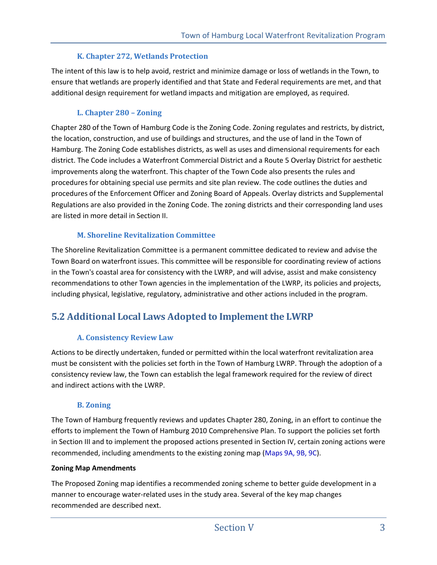#### **K. Chapter 272, Wetlands Protection**

The intent of this law is to help avoid, restrict and minimize damage or loss of wetlands in the Town, to ensure that wetlands are properly identified and that State and Federal requirements are met, and that additional design requirement for wetland impacts and mitigation are employed, as required.

#### **L. Chapter 280 – Zoning**

Chapter 280 of the Town of Hamburg Code is the Zoning Code. Zoning regulates and restricts, by district, the location, construction, and use of buildings and structures, and the use of land in the Town of Hamburg. The Zoning Code establishes districts, as well as uses and dimensional requirements for each district. The Code includes a Waterfront Commercial District and a Route 5 Overlay District for aesthetic improvements along the waterfront. This chapter of the Town Code also presents the rules and procedures for obtaining special use permits and site plan review. The code outlines the duties and procedures of the Enforcement Officer and Zoning Board of Appeals. Overlay districts and Supplemental Regulations are also provided in the Zoning Code. The zoning districts and their corresponding land uses are listed in more detail in Section II.

#### **M. Shoreline Revitalization Committee**

The Shoreline Revitalization Committee is a permanent committee dedicated to review and advise the Town Board on waterfront issues. This committee will be responsible for coordinating review of actions in the Town's coastal area for consistency with the LWRP, and will advise, assist and make consistency recommendations to other Town agencies in the implementation of the LWRP, its policies and projects, including physical, legislative, regulatory, administrative and other actions included in the program.

## **5.2 Additional Local Laws Adopted to Implement the LWRP**

#### **A. Consistency Review Law**

Actions to be directly undertaken, funded or permitted within the local waterfront revitalization area must be consistent with the policies set forth in the Town of Hamburg LWRP. Through the adoption of a consistency review law, the Town can establish the legal framework required for the review of direct and indirect actions with the LWRP.

#### **B. Zoning**

The Town of Hamburg frequently reviews and updates Chapter 280, Zoning, in an effort to continue the efforts to implement the Town of Hamburg 2010 Comprehensive Plan. To support the policies set forth in Section III and to implement the proposed actions presented in Section IV, certain zoning actions were recommended, including amendments to the existing zoning map (Maps 9A, 9B, 9C).

#### **Zoning Map Amendments**

The Proposed Zoning map identifies a recommended zoning scheme to better guide development in a manner to encourage water-related uses in the study area. Several of the key map changes recommended are described next.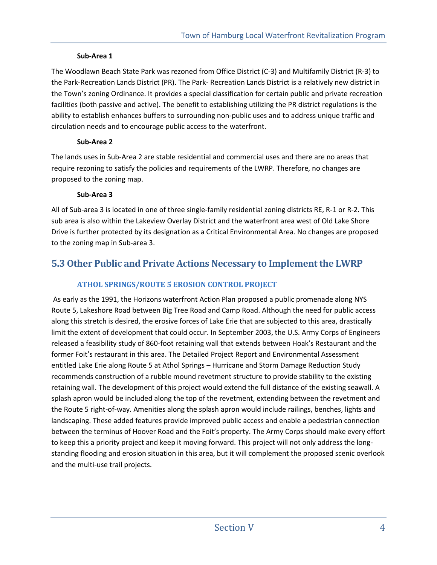#### **Sub-Area 1**

The Woodlawn Beach State Park was rezoned from Office District (C-3) and Multifamily District (R-3) to the Park-Recreation Lands District (PR). The Park- Recreation Lands District is a relatively new district in the Town's zoning Ordinance. It provides a special classification for certain public and private recreation facilities (both passive and active). The benefit to establishing utilizing the PR district regulations is the ability to establish enhances buffers to surrounding non-public uses and to address unique traffic and circulation needs and to encourage public access to the waterfront.

#### **Sub-Area 2**

The lands uses in Sub-Area 2 are stable residential and commercial uses and there are no areas that require rezoning to satisfy the policies and requirements of the LWRP. Therefore, no changes are proposed to the zoning map.

#### **Sub-Area 3**

All of Sub-area 3 is located in one of three single-family residential zoning districts RE, R-1 or R-2. This sub area is also within the Lakeview Overlay District and the waterfront area west of Old Lake Shore Drive is further protected by its designation as a Critical Environmental Area. No changes are proposed to the zoning map in Sub-area 3.

## **5.3 Other Public and Private Actions Necessary to Implement the LWRP**

## **ATHOL SPRINGS/ROUTE 5 EROSION CONTROL PROJECT**

 As early as the 1991, the Horizons waterfront Action Plan proposed a public promenade along NYS Route 5, Lakeshore Road between Big Tree Road and Camp Road. Although the need for public access along this stretch is desired, the erosive forces of Lake Erie that are subjected to this area, drastically limit the extent of development that could occur. In September 2003, the U.S. Army Corps of Engineers released a feasibility study of 860-foot retaining wall that extends between Hoak's Restaurant and the former Foit's restaurant in this area. The Detailed Project Report and Environmental Assessment entitled Lake Erie along Route 5 at Athol Springs – Hurricane and Storm Damage Reduction Study recommends construction of a rubble mound revetment structure to provide stability to the existing retaining wall. The development of this project would extend the full distance of the existing seawall. A splash apron would be included along the top of the revetment, extending between the revetment and the Route 5 right-of-way. Amenities along the splash apron would include railings, benches, lights and landscaping. These added features provide improved public access and enable a pedestrian connection between the terminus of Hoover Road and the Foit's property. The Army Corps should make every effort to keep this a priority project and keep it moving forward. This project will not only address the longstanding flooding and erosion situation in this area, but it will complement the proposed scenic overlook and the multi-use trail projects.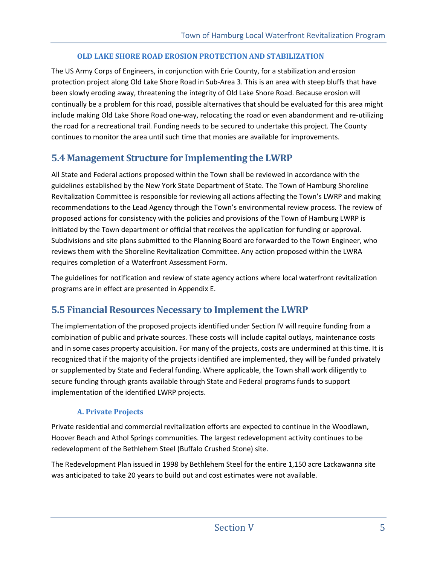#### **OLD LAKE SHORE ROAD EROSION PROTECTION AND STABILIZATION**

The US Army Corps of Engineers, in conjunction with Erie County, for a stabilization and erosion protection project along Old Lake Shore Road in Sub-Area 3. This is an area with steep bluffs that have been slowly eroding away, threatening the integrity of Old Lake Shore Road. Because erosion will continually be a problem for this road, possible alternatives that should be evaluated for this area might include making Old Lake Shore Road one-way, relocating the road or even abandonment and re-utilizing the road for a recreational trail. Funding needs to be secured to undertake this project. The County continues to monitor the area until such time that monies are available for improvements.

## **5.4 Management Structure for Implementing the LWRP**

All State and Federal actions proposed within the Town shall be reviewed in accordance with the guidelines established by the New York State Department of State. The Town of Hamburg Shoreline Revitalization Committee is responsible for reviewing all actions affecting the Town's LWRP and making recommendations to the Lead Agency through the Town's environmental review process. The review of proposed actions for consistency with the policies and provisions of the Town of Hamburg LWRP is initiated by the Town department or official that receives the application for funding or approval. Subdivisions and site plans submitted to the Planning Board are forwarded to the Town Engineer, who reviews them with the Shoreline Revitalization Committee. Any action proposed within the LWRA requires completion of a Waterfront Assessment Form.

The guidelines for notification and review of state agency actions where local waterfront revitalization programs are in effect are presented in Appendix E.

## **5.5 Financial Resources Necessary to Implement the LWRP**

The implementation of the proposed projects identified under Section IV will require funding from a combination of public and private sources. These costs will include capital outlays, maintenance costs and in some cases property acquisition. For many of the projects, costs are undermined at this time. It is recognized that if the majority of the projects identified are implemented, they will be funded privately or supplemented by State and Federal funding. Where applicable, the Town shall work diligently to secure funding through grants available through State and Federal programs funds to support implementation of the identified LWRP projects.

#### **A. Private Projects**

Private residential and commercial revitalization efforts are expected to continue in the Woodlawn, Hoover Beach and Athol Springs communities. The largest redevelopment activity continues to be redevelopment of the Bethlehem Steel (Buffalo Crushed Stone) site.

The Redevelopment Plan issued in 1998 by Bethlehem Steel for the entire 1,150 acre Lackawanna site was anticipated to take 20 years to build out and cost estimates were not available.